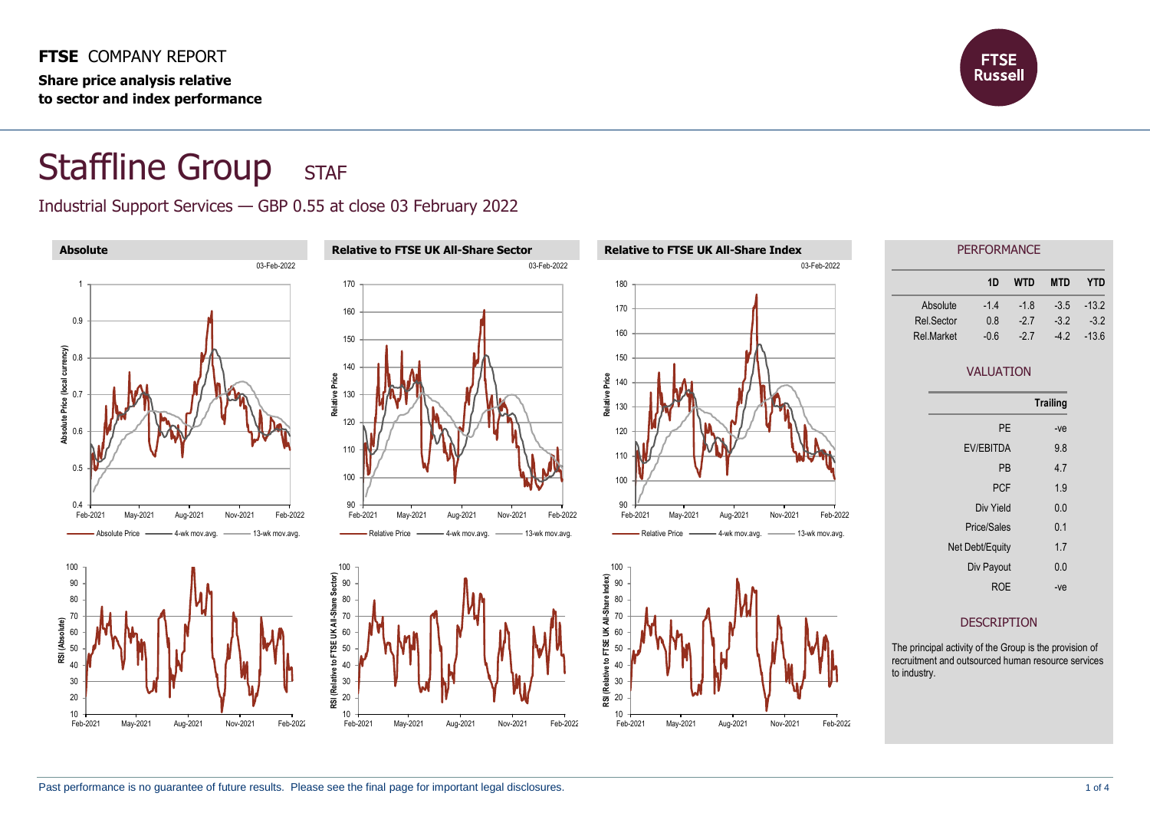**FTSE** COMPANY REPORT **Share price analysis relative to sector and index performance**



# Staffline Group STAF

## Industrial Support Services — GBP 0.55 at close 03 February 2022

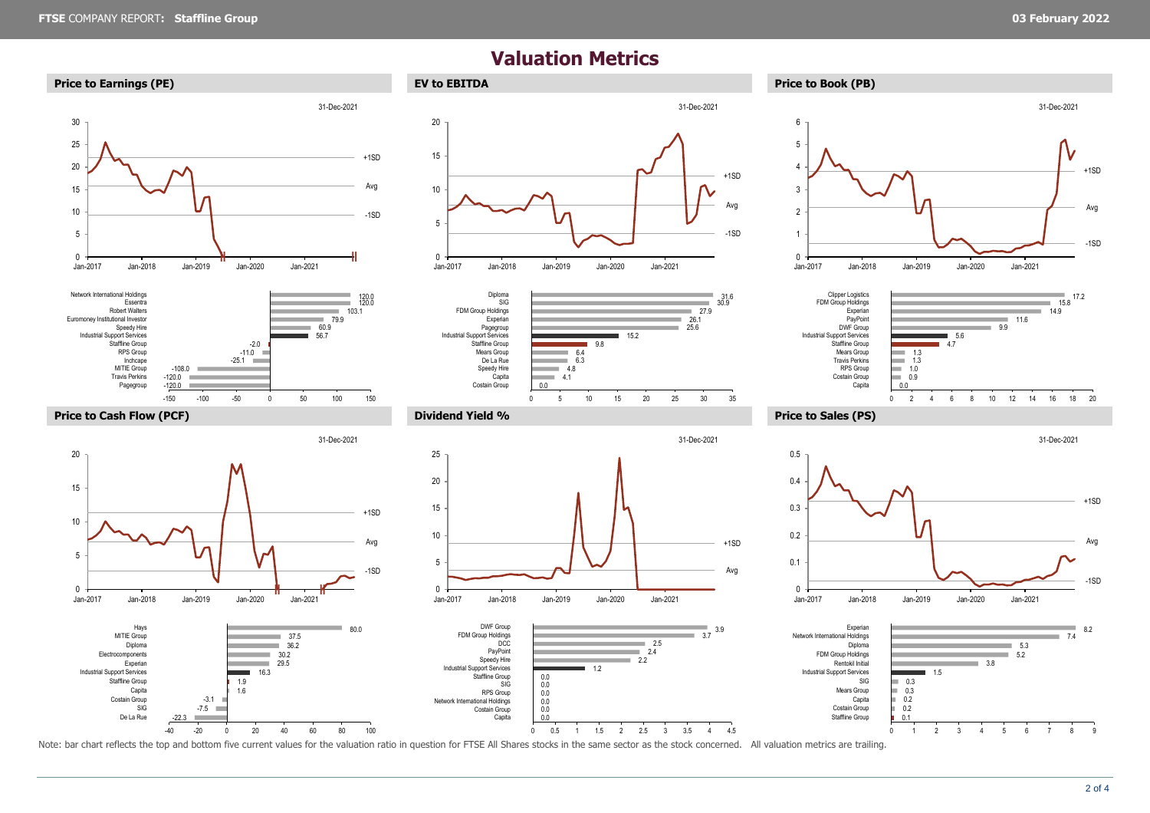### **Valuation Metrics**

#### **Price to Earnings (PE) EV to EBITDA Price to Book (PB)** 31-Dec-2021 30 25 +1SD 20 Avg 15 10 -1SD 5 <sup>0</sup> **‖ ‖** Jan-2017 Jan-2018 Jan-2019 Jan-2020 Jan-2021 Network International Holdings 120.0 120.0 Essentra ÷ Robert Walters 103.1 a. Euromoney Institutional Investor



<sup>0</sup> **‖ ‖**

Jan-2017 Jan-2018 Jan-2019 Jan-2020 Jan-2021

-22.3

De La Rue SIG Costain Group **Capita** Staffline Group Industrial Support Services Experian **Electrocomponents** Diploma MITIE Group Hays

-7.5 -3.1

1.6 1.9 16.3 29.5 30.2  $36.2$  $37.5$ 

and a ٠

5

10

15

20





Jan-2017 Jan-2018 Jan-2019 Jan-2020 Jan-2021

 $1.2$ 

 $2.2$  $2.4$ 2.5

0.0 0.0 0.0 0.0 0.0 0.0





### **Price to Cash Flow (PCF) Dividend Yield % Price to Sales (PS)**

+1SD

31-Dec-2021

Avg

 $3.7$  3.9





-40 -20 0 20 40 60 80 100 0 0.5 1 1.5 2 2.5 3 3.5 4 4.5

0

5 10 15

20 25

-1SD

80.0

+1SD

31-Dec-2021

Avg

Note: bar chart reflects the top and bottom five current values for the valuation ratio in question for FTSE All Shares stocks in the same sector as the stock concerned. All valuation metrics are trailing.

Capita Costain Group Network International Holdings RPS Group SIG Staffline Group Industrial Support Services Speedy Hire PayPoint DCC FDM Group Holdings DWF Group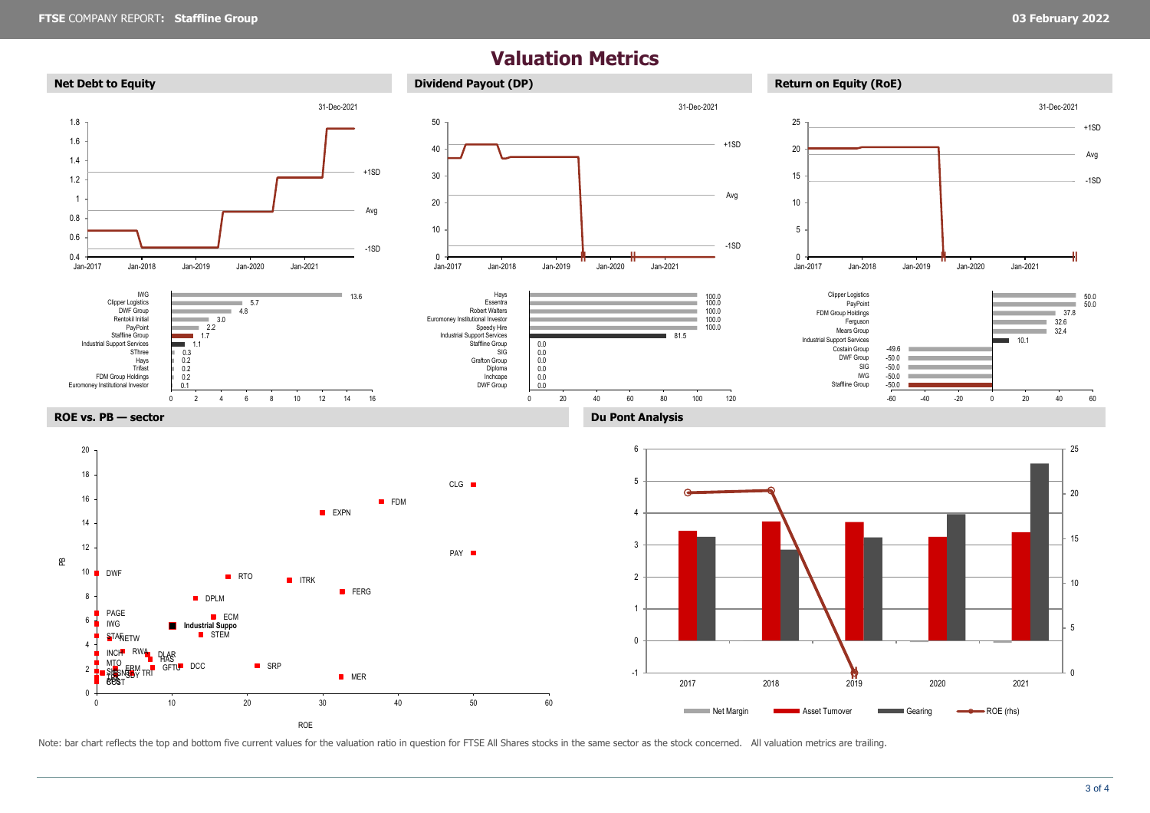### **Valuation Metrics**



Note: bar chart reflects the top and bottom five current values for the valuation ratio in question for FTSE All Shares stocks in the same sector as the stock concerned. All valuation metrics are trailing.

ROE